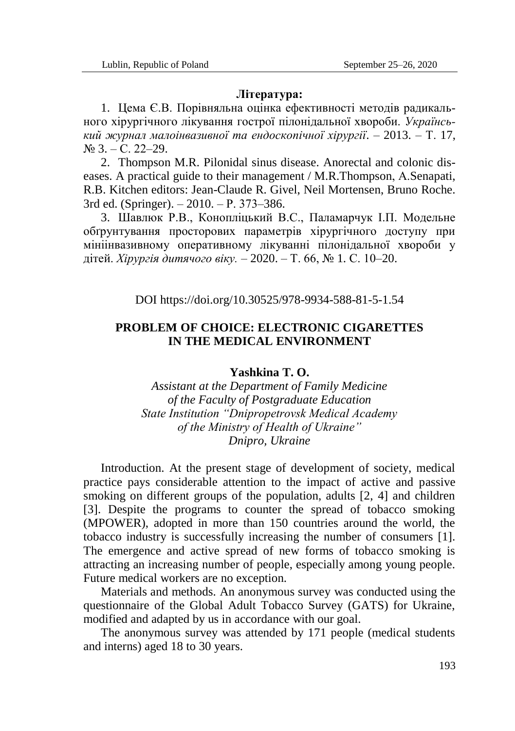## **Література:**

1. Цема Є.В. Порівняльна оцінка ефективності методів радикального хірургічного лікування гострої пілонідальної хвороби. *Український журнал малоінвазивної та ендоскопічної хірургії*. – 2013. – Т. 17,  $\mathbb{N}^{\circ}$  3. – C. 22–29.

2. Thompson M.R. Pilonidal sinus disease. Anorectal and colonic diseases. A practical guide to their management / M.R.Thompson, А.Senapati, R.B. Kitchen editors: Jean-Claude R. Givel, Neil Mortensen, Bruno Roche. 3rd ed. (Springer). – 2010. – Р. 373–386.

3. Шавлюк Р.В., Конопліцький В.С., Паламарчук І.П. Модельне обґрунтування просторових параметрів хірургічного доступу при мініінвазивному оперативному лікуванні пілонідальної хвороби у дітей. *Хірургія дитячого віку.* – 2020. – Т. 66, № 1. С. 10–20.

DOI https://doi.org/10.30525/978-9934-588-81-5-1.54

## **PROBLEM OF CHOICE: ELECTRONIC CIGARETTES IN THE MEDICAL ENVIRONMENT**

## **Yashkina T. O.**

*Assistant at the Department of Family Medicine of the Faculty of Postgraduate Education State Institution "Dnipropetrovsk Medical Academy of the Ministry of Health of Ukraine" Dnipro, Ukraine*

Introduction. At the present stage of development of society, medical practice pays considerable attention to the impact of active and passive smoking on different groups of the population, adults [2, 4] and children [3]. Despite the programs to counter the spread of tobacco smoking (MPOWER), adopted in more than 150 countries around the world, the tobacco industry is successfully increasing the number of consumers [1]. The emergence and active spread of new forms of tobacco smoking is attracting an increasing number of people, especially among young people. Future medical workers are no exception.

Materials and methods. An anonymous survey was conducted using the questionnaire of the Global Adult Tobacco Survey (GATS) for Ukraine, modified and adapted by us in accordance with our goal.

The anonymous survey was attended by 171 people (medical students and interns) aged 18 to 30 years.